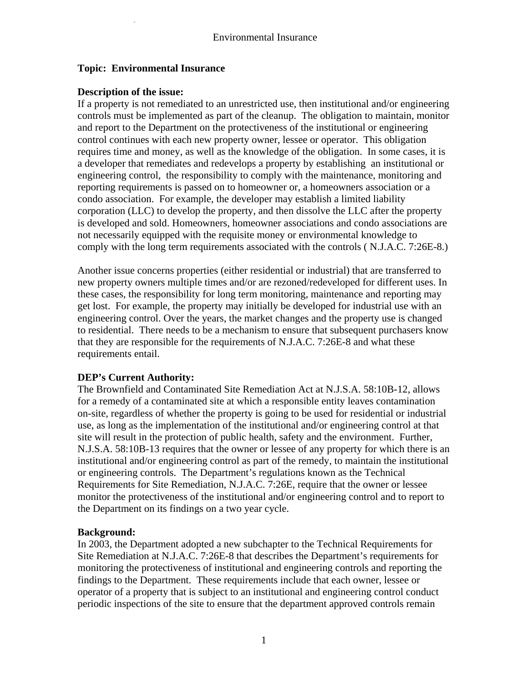# **Topic: Environmental Insurance**

### **Description of the issue:**

If a property is not remediated to an unrestricted use, then institutional and/or engineering controls must be implemented as part of the cleanup. The obligation to maintain, monitor and report to the Department on the protectiveness of the institutional or engineering control continues with each new property owner, lessee or operator. This obligation requires time and money, as well as the knowledge of the obligation. In some cases, it is a developer that remediates and redevelops a property by establishing an institutional or engineering control, the responsibility to comply with the maintenance, monitoring and reporting requirements is passed on to homeowner or, a homeowners association or a condo association. For example, the developer may establish a limited liability corporation (LLC) to develop the property, and then dissolve the LLC after the property is developed and sold. Homeowners, homeowner associations and condo associations are not necessarily equipped with the requisite money or environmental knowledge to comply with the long term requirements associated with the controls ( N.J.A.C. 7:26E-8.)

Another issue concerns properties (either residential or industrial) that are transferred to new property owners multiple times and/or are rezoned/redeveloped for different uses. In these cases, the responsibility for long term monitoring, maintenance and reporting may get lost. For example, the property may initially be developed for industrial use with an engineering control. Over the years, the market changes and the property use is changed to residential. There needs to be a mechanism to ensure that subsequent purchasers know that they are responsible for the requirements of N.J.A.C. 7:26E-8 and what these requirements entail.

# **DEP's Current Authority:**

The Brownfield and Contaminated Site Remediation Act at N.J.S.A. 58:10B-12, allows for a remedy of a contaminated site at which a responsible entity leaves contamination on-site, regardless of whether the property is going to be used for residential or industrial use, as long as the implementation of the institutional and/or engineering control at that site will result in the protection of public health, safety and the environment. Further, N.J.S.A. 58:10B-13 requires that the owner or lessee of any property for which there is an institutional and/or engineering control as part of the remedy, to maintain the institutional or engineering controls. The Department's regulations known as the Technical Requirements for Site Remediation, N.J.A.C. 7:26E, require that the owner or lessee monitor the protectiveness of the institutional and/or engineering control and to report to the Department on its findings on a two year cycle.

### **Background:**

In 2003, the Department adopted a new subchapter to the Technical Requirements for Site Remediation at N.J.A.C. 7:26E-8 that describes the Department's requirements for monitoring the protectiveness of institutional and engineering controls and reporting the findings to the Department. These requirements include that each owner, lessee or operator of a property that is subject to an institutional and engineering control conduct periodic inspections of the site to ensure that the department approved controls remain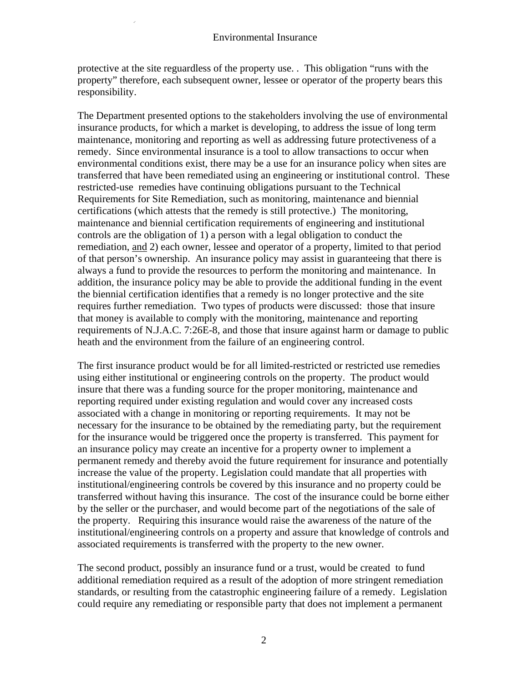protective at the site reguardless of the property use. . This obligation "runs with the property" therefore, each subsequent owner, lessee or operator of the property bears this responsibility.

The Department presented options to the stakeholders involving the use of environmental insurance products, for which a market is developing, to address the issue of long term maintenance, monitoring and reporting as well as addressing future protectiveness of a remedy. Since environmental insurance is a tool to allow transactions to occur when environmental conditions exist, there may be a use for an insurance policy when sites are transferred that have been remediated using an engineering or institutional control. These restricted-use remedies have continuing obligations pursuant to the Technical Requirements for Site Remediation, such as monitoring, maintenance and biennial certifications (which attests that the remedy is still protective.) The monitoring, maintenance and biennial certification requirements of engineering and institutional controls are the obligation of 1) a person with a legal obligation to conduct the remediation, and 2) each owner, lessee and operator of a property, limited to that period of that person's ownership. An insurance policy may assist in guaranteeing that there is always a fund to provide the resources to perform the monitoring and maintenance. In addition, the insurance policy may be able to provide the additional funding in the event the biennial certification identifies that a remedy is no longer protective and the site requires further remediation. Two types of products were discussed: those that insure that money is available to comply with the monitoring, maintenance and reporting requirements of N.J.A.C. 7:26E-8, and those that insure against harm or damage to public heath and the environment from the failure of an engineering control.

The first insurance product would be for all limited-restricted or restricted use remedies using either institutional or engineering controls on the property. The product would insure that there was a funding source for the proper monitoring, maintenance and reporting required under existing regulation and would cover any increased costs associated with a change in monitoring or reporting requirements. It may not be necessary for the insurance to be obtained by the remediating party, but the requirement for the insurance would be triggered once the property is transferred. This payment for an insurance policy may create an incentive for a property owner to implement a permanent remedy and thereby avoid the future requirement for insurance and potentially increase the value of the property. Legislation could mandate that all properties with institutional/engineering controls be covered by this insurance and no property could be transferred without having this insurance. The cost of the insurance could be borne either by the seller or the purchaser, and would become part of the negotiations of the sale of the property. Requiring this insurance would raise the awareness of the nature of the institutional/engineering controls on a property and assure that knowledge of controls and associated requirements is transferred with the property to the new owner.

The second product, possibly an insurance fund or a trust, would be created to fund additional remediation required as a result of the adoption of more stringent remediation standards, or resulting from the catastrophic engineering failure of a remedy. Legislation could require any remediating or responsible party that does not implement a permanent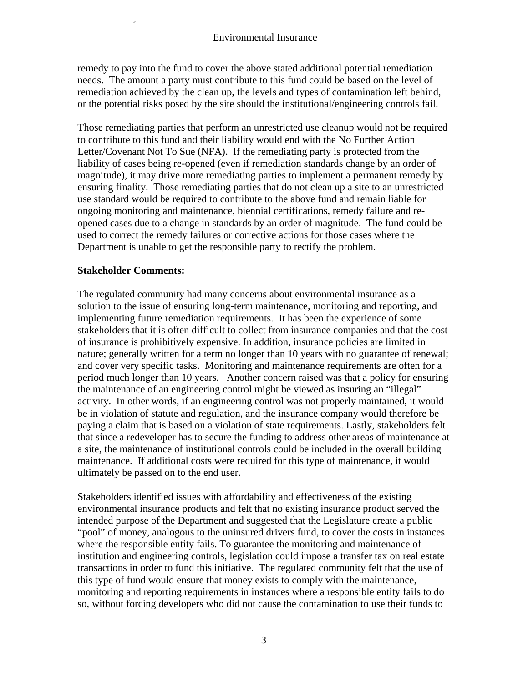remedy to pay into the fund to cover the above stated additional potential remediation needs. The amount a party must contribute to this fund could be based on the level of remediation achieved by the clean up, the levels and types of contamination left behind, or the potential risks posed by the site should the institutional/engineering controls fail.

Those remediating parties that perform an unrestricted use cleanup would not be required to contribute to this fund and their liability would end with the No Further Action Letter/Covenant Not To Sue (NFA). If the remediating party is protected from the liability of cases being re-opened (even if remediation standards change by an order of magnitude), it may drive more remediating parties to implement a permanent remedy by ensuring finality. Those remediating parties that do not clean up a site to an unrestricted use standard would be required to contribute to the above fund and remain liable for ongoing monitoring and maintenance, biennial certifications, remedy failure and reopened cases due to a change in standards by an order of magnitude. The fund could be used to correct the remedy failures or corrective actions for those cases where the Department is unable to get the responsible party to rectify the problem.

# **Stakeholder Comments:**

The regulated community had many concerns about environmental insurance as a solution to the issue of ensuring long-term maintenance, monitoring and reporting, and implementing future remediation requirements. It has been the experience of some stakeholders that it is often difficult to collect from insurance companies and that the cost of insurance is prohibitively expensive. In addition, insurance policies are limited in nature; generally written for a term no longer than 10 years with no guarantee of renewal; and cover very specific tasks. Monitoring and maintenance requirements are often for a period much longer than 10 years. Another concern raised was that a policy for ensuring the maintenance of an engineering control might be viewed as insuring an "illegal" activity. In other words, if an engineering control was not properly maintained, it would be in violation of statute and regulation, and the insurance company would therefore be paying a claim that is based on a violation of state requirements. Lastly, stakeholders felt that since a redeveloper has to secure the funding to address other areas of maintenance at a site, the maintenance of institutional controls could be included in the overall building maintenance. If additional costs were required for this type of maintenance, it would ultimately be passed on to the end user.

Stakeholders identified issues with affordability and effectiveness of the existing environmental insurance products and felt that no existing insurance product served the intended purpose of the Department and suggested that the Legislature create a public "pool" of money, analogous to the uninsured drivers fund, to cover the costs in instances where the responsible entity fails. To guarantee the monitoring and maintenance of institution and engineering controls, legislation could impose a transfer tax on real estate transactions in order to fund this initiative. The regulated community felt that the use of this type of fund would ensure that money exists to comply with the maintenance, monitoring and reporting requirements in instances where a responsible entity fails to do so, without forcing developers who did not cause the contamination to use their funds to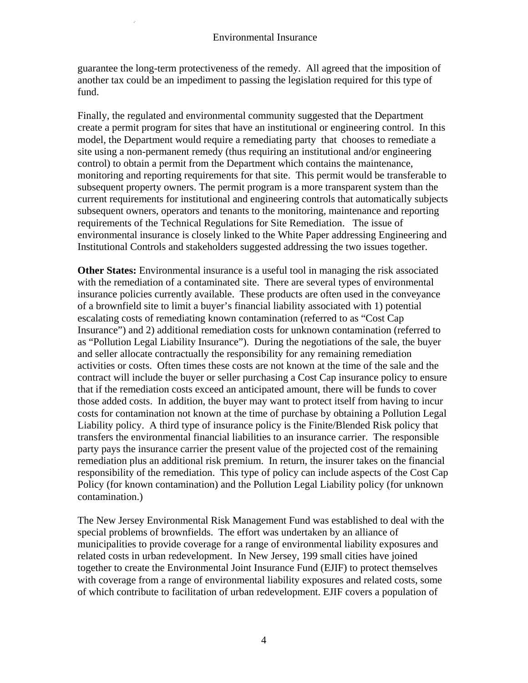guarantee the long-term protectiveness of the remedy. All agreed that the imposition of another tax could be an impediment to passing the legislation required for this type of fund.

Finally, the regulated and environmental community suggested that the Department create a permit program for sites that have an institutional or engineering control. In this model, the Department would require a remediating party that chooses to remediate a site using a non-permanent remedy (thus requiring an institutional and/or engineering control) to obtain a permit from the Department which contains the maintenance, monitoring and reporting requirements for that site. This permit would be transferable to subsequent property owners. The permit program is a more transparent system than the current requirements for institutional and engineering controls that automatically subjects subsequent owners, operators and tenants to the monitoring, maintenance and reporting requirements of the Technical Regulations for Site Remediation. The issue of environmental insurance is closely linked to the White Paper addressing Engineering and Institutional Controls and stakeholders suggested addressing the two issues together.

**Other States:** Environmental insurance is a useful tool in managing the risk associated with the remediation of a contaminated site. There are several types of environmental insurance policies currently available. These products are often used in the conveyance of a brownfield site to limit a buyer's financial liability associated with 1) potential escalating costs of remediating known contamination (referred to as "Cost Cap Insurance") and 2) additional remediation costs for unknown contamination (referred to as "Pollution Legal Liability Insurance"). During the negotiations of the sale, the buyer and seller allocate contractually the responsibility for any remaining remediation activities or costs. Often times these costs are not known at the time of the sale and the contract will include the buyer or seller purchasing a Cost Cap insurance policy to ensure that if the remediation costs exceed an anticipated amount, there will be funds to cover those added costs. In addition, the buyer may want to protect itself from having to incur costs for contamination not known at the time of purchase by obtaining a Pollution Legal Liability policy. A third type of insurance policy is the Finite/Blended Risk policy that transfers the environmental financial liabilities to an insurance carrier. The responsible party pays the insurance carrier the present value of the projected cost of the remaining remediation plus an additional risk premium. In return, the insurer takes on the financial responsibility of the remediation. This type of policy can include aspects of the Cost Cap Policy (for known contamination) and the Pollution Legal Liability policy (for unknown contamination.)

The New Jersey Environmental Risk Management Fund was established to deal with the special problems of brownfields. The effort was undertaken by an alliance of municipalities to provide coverage for a range of environmental liability exposures and related costs in urban redevelopment. In New Jersey, 199 small cities have joined together to create the Environmental Joint Insurance Fund (EJIF) to protect themselves with coverage from a range of environmental liability exposures and related costs, some of which contribute to facilitation of urban redevelopment. EJIF covers a population of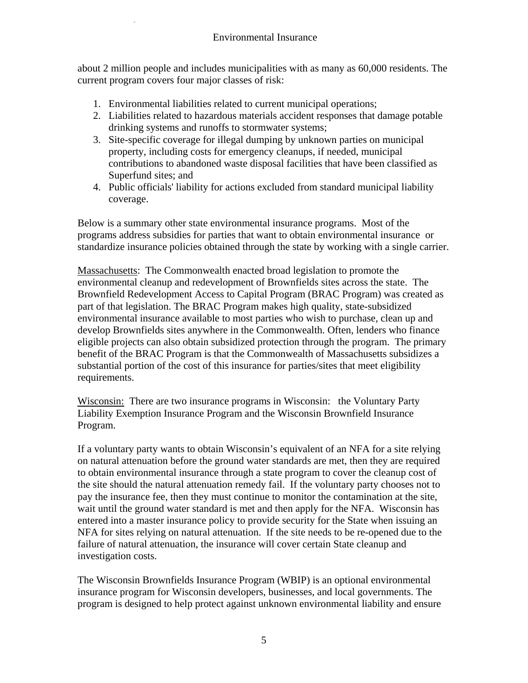about 2 million people and includes municipalities with as many as 60,000 residents. The current program covers four major classes of risk:

- 1. Environmental liabilities related to current municipal operations;
- 2. Liabilities related to hazardous materials accident responses that damage potable drinking systems and runoffs to stormwater systems;
- 3. Site-specific coverage for illegal dumping by unknown parties on municipal property, including costs for emergency cleanups, if needed, municipal contributions to abandoned waste disposal facilities that have been classified as Superfund sites; and
- 4. Public officials' liability for actions excluded from standard municipal liability coverage.

Below is a summary other state environmental insurance programs. Most of the programs address subsidies for parties that want to obtain environmental insurance or standardize insurance policies obtained through the state by working with a single carrier.

Massachusetts: The Commonwealth enacted broad legislation to promote the environmental cleanup and redevelopment of Brownfields sites across the state. The Brownfield Redevelopment Access to Capital Program (BRAC Program) was created as part of that legislation. The BRAC Program makes high quality, state-subsidized environmental insurance available to most parties who wish to purchase, clean up and develop Brownfields sites anywhere in the Commonwealth. Often, lenders who finance eligible projects can also obtain subsidized protection through the program. The primary benefit of the BRAC Program is that the Commonwealth of Massachusetts subsidizes a substantial portion of the cost of this insurance for parties/sites that meet eligibility requirements.

Wisconsin: There are two insurance programs in Wisconsin: the Voluntary Party Liability Exemption Insurance Program and the Wisconsin Brownfield Insurance Program.

If a voluntary party wants to obtain Wisconsin's equivalent of an NFA for a site relying on natural attenuation before the ground water standards are met, then they are required to obtain environmental insurance through a state program to cover the cleanup cost of the site should the natural attenuation remedy fail. If the voluntary party chooses not to pay the insurance fee, then they must continue to monitor the contamination at the site, wait until the ground water standard is met and then apply for the NFA. Wisconsin has entered into a master insurance policy to provide security for the State when issuing an NFA for sites relying on natural attenuation. If the site needs to be re-opened due to the failure of natural attenuation, the insurance will cover certain State cleanup and investigation costs.

The Wisconsin Brownfields Insurance Program (WBIP) is an optional environmental insurance program for Wisconsin developers, businesses, and local governments. The program is designed to help protect against unknown environmental liability and ensure